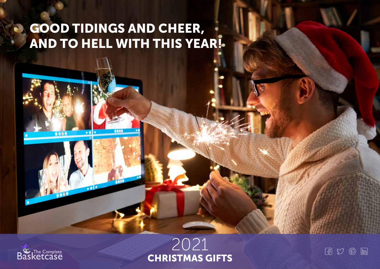# **GOOD TIDINGS AND CHEER,** AND TO HELL WITH THIS YEAR!

886

 $\overline{\bullet}$ 



**DOD** 



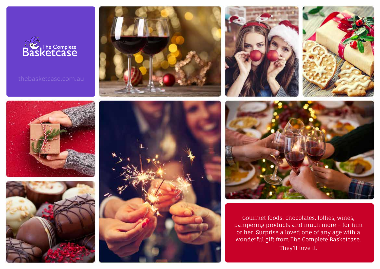















Gourmet foods, chocolates, lollies, wines, pampering products and much more – for him or her. Surprise a loved one of any age with a wonderful gift from The Complete Basketcase. They'll love it.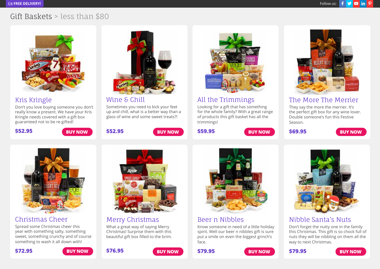

#### Kris Kringle

Don't you love buying someone you don't really know a present. We have your Kris Kringle needs covered with a gift box guaranteed not to be re-gifted!

**\$52.95**



Wine & Chill

**\$52.95**

Sometimes you need to kick your feet up and chill, what is a better way than a glass of wine and some sweet treats?!

**[BUY NOW](https://www.thebasketcase.com.au/gift-basket/kris-kringle/) [BUY NOW](https://www.thebasketcase.com.au/gift-basket/wine-chill-gift-hamper/) [BUY NOW](https://www.thebasketcase.com.au/gift-basket/trimmings-christmas-gift-hamper/) \$69.95 [BUY NOW](https://www.thebasketcase.com.au/gift-basket/merrier-christmas-gift-hamper/)**



#### All the Trimmings

**\$59.95**

Looking for a gift that has something for the whole family? With a great range of products this gift basket has all the trimmings!



#### The More The Merrier

They say the more the merrier. It's the perfect gift box for any wine lover. Double someone's fun this Festive Season.



#### Christmas Cheer

Spread some Christmas cheer this year with something salty, something sweet, something crunchy and of course something to wash it all down with!

#### Merry Christmas

What a great way of saying Merry Christmas! Surprise them with this beautiful gift box filled to the brim.



#### Beer n Nibbles

**\$79.95**

Know someone in need of a little holiday spirit. Well our beer n nibbles gift is sure put a smile on even the biggest grinch's face.





#### Nibble Santa's Nuts

Don't forget the nutty one in the family this Christmas. This gift is so chock full of nuts they will be nibbling on them all the way to next Christmas.



**\$72.95 [BUY NOW](https://www.thebasketcase.com.au/gift-basket/christmas-cheer-gift-hamper/)**



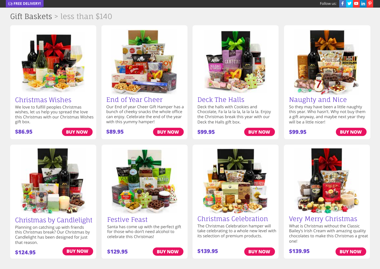

#### Christmas Wishes

We love to fulfill peoples Christmas wishes, let us help you spread the love this Christmas with our Christmas Wishes gift box.

**\$86.95**



End of Year Cheer

**\$89.95**

Our End of year Cheer Gift Hamper has a bunch of cheeky snacks the whole office can enjoy. Celebrate the end of the year with this yummy hamper!

**[BUY NOW](https://www.thebasketcase.com.au/gift-basket/christmas-wishes-gift-hamper/) [BUY NOW](https://www.thebasketcase.com.au/gift-basket/end-of-year-cheer/) [BUY NOW](https://www.thebasketcase.com.au/gift-basket/deck-the-halls-christmas-gift-hamper/) \$99.95 [BUY NOW](https://www.thebasketcase.com.au/gift-basket/naughty-and-nice-christmas-gift-hamper/)**



Deck The Halls

**\$99.95**

Deck the halls with Cookies and Chocolate, Fa la la la la, la la la la. Enjoy the Christmas break this year with our Deck the Halls gift box.

### Naughty and Nice

So they may have been a little naughty this year. Who hasn't. Why not buy them a gift anyway, and maybe next year they will be a little nicer!



### Christmas by Candlelight

Planning on catching up with friends this Christmas break? Our Christmas by Candlelight has been designed for just that reason.



Festive Feast Santa has come up with the perfect gift for those who don't need alcohol to celebrate this Christmas!



# Christmas Celebration

The Christmas Celebration hamper will take celebrating to a whole new level with its selection of premium products.



### Very Merry Christmas

What is Christmas without the Classic Bailey's Irish Cream with amazing quality chocolates to make this Christmas a great one!









**\$139.95**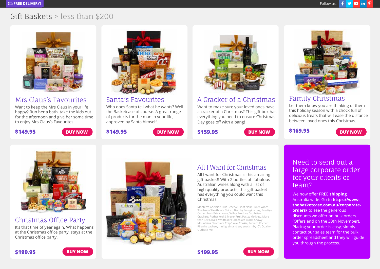

### Mrs Claus's Favourites

Want to keep the Mrs Claus in your life happy? Run her a bath, take the kids out for the afternoon and give her some time to enjoy Mrs Claus's Favourites.

#### **\$149.95**



Santa's Favourites

**\$149.95**

Who does Santa tell what he wants? Well the Basketcase of course. A great range of products for the man in your life, approved by Santa himself.

**[BUY NOW](https://www.thebasketcase.com.au/gift-basket/clauss-favourites/) [BUY NOW](https://www.thebasketcase.com.au/gift-basket/santas-favourites/) [BUY NOW](https://www.thebasketcase.com.au/gift-basket/cracker-christmas/) \$169.95 [BUY NOW](https://www.thebasketcase.com.au/gift-basket/family-christmas-gift-basket/)**



#### A Cracker of a Christmas

Want to make sure your loved ones have a cracker of a Christmas? This gift box has everything you need to ensure Christmas Day goes off with a bang!

**\$159.95**

**\$199.95**



#### Family Christmas

Let them know you are thinking of them this holiday season with a chock full of delicious treats that will ease the distance between loved ones this Christmas.



#### Christmas Office Party

It's that time of year again. What happens at the Christmas office party, stays at the Christmas office party.



# All I Want for Christmas

All I want for Christmas is this amazing gift basket!! With 2 bottles of fabulous Australian wines along with a list of high quality products, this gift basket has everything you could want this Christmas.

Monterra Adelaide Hills Reserve Pinot Noir; Buller Wines 'The Nook' Heathcote Shiraz; Baci by Perugina bag; Prestige Camembert/Brie cheese; Valley Produce Co. Artisan Crackers; Rutherford & Meyer Fruit Paste; Molives.. More than just Olives; Whittakers Chocolate Block; Snowy Mountains Chocolate Chip 'Love' Cookie; Ferrero Rocher; Piranha cashew, multigrain and soy snack mix; JC's Quality Outback Mix

#### Need to send out a [large corporate order](https://www.thebasketcase.com.au/corporate-orders/)  for your clients or team?

We now offer **FREE shipping** Australia wide. Go to **[https://www.](https://www.thebasketcase.com.au/corporate-orders/) [thebasketcase.com.au/corporate](https://www.thebasketcase.com.au/corporate-orders/)[orders/](https://www.thebasketcase.com.au/corporate-orders/)** to see the generous discounts we offer on bulk orders. (Offers end on the 30th November). Placing your order is easy, simply contact our sales team for the bulk order spreadsheet and they will guide you through the process.

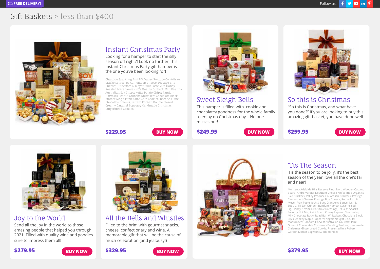

#### Instant Christmas Party

Looking for a hamper to start the silly season off right?! Look no further, this Instant Christmas Party gift hamper is the one you've been looking for!

Chandon Sparkling Brut NV; Valley Produce Co. Artisan Crackers; Prestige Camembert Cheese; Prestige Brie Cheese; Rutherford & Meyer Fruit Paste; JC's Honey Roasted Macadamias; JC's Quality Outback Mix; Piranha Australian Soy Crisps; Kettle Potato Chips; Random Harvest's Peanut Crunch; Whittakers Chocolate Block; Mother Meg's Triple Choc Chip Cookies; Beeche's Fine Chocolate Creams; Ferrero Rocher; Double Glazed Creamy Caramel Popcorn; Handmade Christmas Gingerbread Cookies

**[BUY NOW](https://www.thebasketcase.com.au/gift-basket/instant-christmas-party-gift-hamper/)**



#### Sweet Sleigh Bells

This hamper is filled with cookie and chocolatey goodness for the whole family to enjoy on Christmas day – No one misses out!

**\$249.95**

**[BUY NOW](https://www.thebasketcase.com.au/gift-basket/so-this-is-christmas-gift-hamper/) 3259.95 BUY NOW** 



#### Joy to the World

Send all the joy in the world to those amazing people that helped you through 2021. Filled with quality wine and goodies sure to impress them all!



### All the Bells and Whistles

Filled to the brim with gourmet snacks, cheese, confectionary and wine. A memorable gift that will be the cause of much celebration (and jealousy!)

**\$329.95**

**\$229.95**



#### 'Tis The Season

**\$259.95**

So this is Christmas "So this is Christmas, and what have you done?" If you are looking to buy this amazing gift basket, you have done well.

'Tis the season to be jolly, it's the best season of the year, love all the one's far and near!

Monterra Adelaide Hills Reserve Pinot Noir; Wooden Cutting Board; Andre Verdier Debutant Cheese Knife; Tribe Organics Rice Crackers; Valley Produce Co. Artisan Crackers; Prestige Camembert Cheese; Prestige Brie Cheese; Rutherford & Meyer Fruit Paste; Josh & Sues Cranberry Sauce; Josh & Sue's Chilli Salt Grinder; Random Harvest Caramelised Fig, Honey & Vanilla Balsamic Dressing; JC's Sesh Snacks Savoury Nut Mix; Zaini Boero Cherry Liqueur Chocolates; Milk Chocolate Rocky Road Bar; Whittakers Chocolate Block; Elly's Smokey Maple Popcorn; Angels Nougat Biscuits; Madura tea; Random Harvest Australian Gourmet Jam; Gumnut Chocolate's Christmas Pudding Truffles; Handmade Christmas Gingerbread Cookie; Presented in a Robert Gordon Market Bag with Suede Handles



**\$379.95**



#### **\$279.95 [BUY NOW](https://www.thebasketcase.com.au/gift-basket/joy-to-the-world-christmas-hamper/) [BUY NOW](https://www.thebasketcase.com.au/gift-basket/all-the-bells-and-whistles-christmas-gift-hamper/)**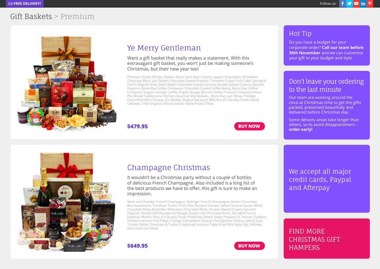### Gift Baskets > Premium



# Ye Merry Gentleman

Want a gift basket that really makes a statement. With this extravagant gift basket, you won't just be making someone's Christmas, but their new year too!

Premium Scotch Whisky; Makers Mark; Zaini Boeri Cherry Liqueur Chocolates; Whittakers Chocolate Block; Just Sweets Chocolate Coated Pretzels; Trentham Tucker Fruit Cake; Springhill Farm's Negroni Slice; Black Rabbit Chocolate Coated Licorice; Double Glazed Creamy Caramel Popcorn; Byron Bay Coffee Company's Chocolate Coated Coffee Beans; Byron Bay Coffee Company's organic plunger coffee; Angels Nougat Biscuits; Valley Produce Company Artisan Pita Bread; Castlemaine Kitchens Gourmet Dip; Molives.. More than just Olives; Prestige Camembert/Brie Cheese; JC's Quality Original Backyard BBQ Mix; JC's Quality Foods Salted Cashews; Tribe Organics Rice Crackers; Kettle Potato Chips

**\$479.95**





Do you have a budget for your corporate order? **Call our team before 30th November** and we can customise your gift to your budget and style.

#### Don't leave your ordering to the last minute

Our team are working around the clock at Christmas time to get the gifts packed, presented beautifully and delivered before Christmas day.

Some delivery areas take longer than others, so to avoid disappointment – **order early!**



### Champagne Christmas

It wouldn't be a Christmas party without a couple of bottles of delicious French Champagne. Also included is a long list of the best products we have to offer, this gift is sure to make an impression.

Moet and Chandon French Champagne; Bollinger French Champagne; Butlers Chocolate Box Assortment; Trentham Tucker Fruit Cake; Random Harvest Salted Caramel Sauce; White Chocolate Rocky Road Bar; Whittakers Chocolate Block; Double Glazed Creamy Caramel Popcorn; Rinaldi Soft Macadamia Nougat; Butlers Hot Chocolate Drink; Springhill Farm's Espresso Martini Slice; JC's Quality Foods Pistachios Salted; Valley Produce Co. Artisan Crackers; Random Harvest Fruit Paste; Prestige Camembert Cheese; Prestige Brie Cheese; Josh & Sue's Tomato Relish; Trentham & Tucker Crispbread; Artisans Table Dried Wild Baby Figs; Molives.. More than just Olives





We accept all major credit cards, Paypal and Afterpay

FIND MORE [CHRISTMAS GIFT](https://www.thebasketcase.com.au/gift-baskets/christmas-hampers-gift-baskets/)  **HAMPERS**